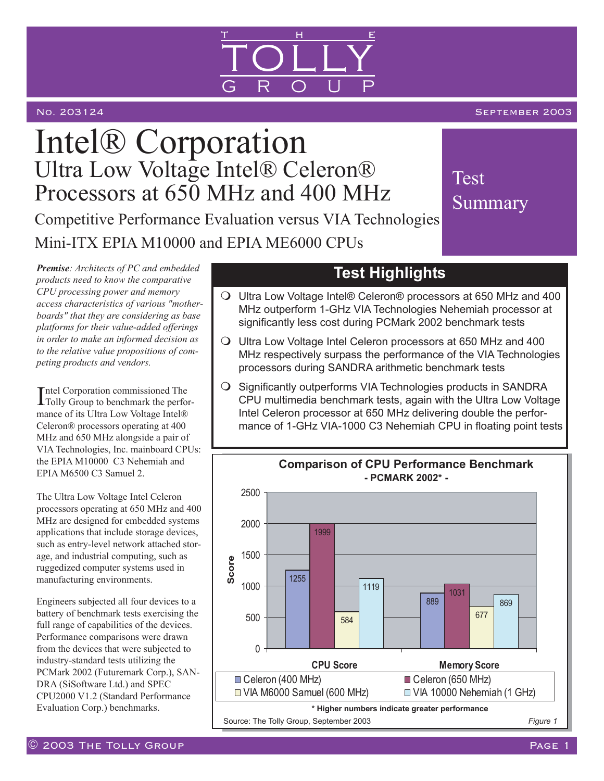

### No. 203124 September 2003 September 2003 September 2003

**Test** 

Summary

# Intel® Corporation Ultra Low Voltage Intel® Celeron® Processors at 650 MHz and 400 MHz Competitive Performance Evaluation versus VIA Technologies Mini-ITX EPIA M10000 and EPIA ME6000 CPUs

*Premise: Architects of PC and embedded products need to know the comparative CPU processing power and memory access characteristics of various "motherboards" that they are considering as base platforms for their value-added offerings in order to make an informed decision as to the relative value propositions of competing products and vendors.*

Intel Corporation commissioned The<br>
Incluy Group to benchmark the perfo Tolly Group to benchmark the performance of its Ultra Low Voltage Intel® Celeron® processors operating at 400 MHz and 650 MHz alongside a pair of VIA Technologies, Inc. mainboard CPUs: the EPIA M10000 C3 Nehemiah and EPIA M6500 C3 Samuel 2.

The Ultra Low Voltage Intel Celeron processors operating at 650 MHz and 400 MHz are designed for embedded systems applications that include storage devices, such as entry-level network attached storage, and industrial computing, such as ruggedized computer systems used in manufacturing environments.

Engineers subjected all four devices to a battery of benchmark tests exercising the full range of capabilities of the devices. Performance comparisons were drawn from the devices that were subjected to industry-standard tests utilizing the PCMark 2002 (Futuremark Corp.), SAN-DRA (SiSoftware Ltd.) and SPEC CPU2000 V1.2 (Standard Performance Evaluation Corp.) benchmarks.

## **Test Highlights**

- Ultra Low Voltage Intel® Celeron® processors at 650 MHz and 400 MHz outperform 1-GHz VIA Technologies Nehemiah processor at significantly less cost during PCMark 2002 benchmark tests
- Ultra Low Voltage Intel Celeron processors at 650 MHz and 400 MHz respectively surpass the performance of the VIA Technologies processors during SANDRA arithmetic benchmark tests
- O Significantly outperforms VIA Technologies products in SANDRA CPU multimedia benchmark tests, again with the Ultra Low Voltage Intel Celeron processor at 650 MHz delivering double the performance of 1-GHz VIA-1000 C3 Nehemiah CPU in floating point tests

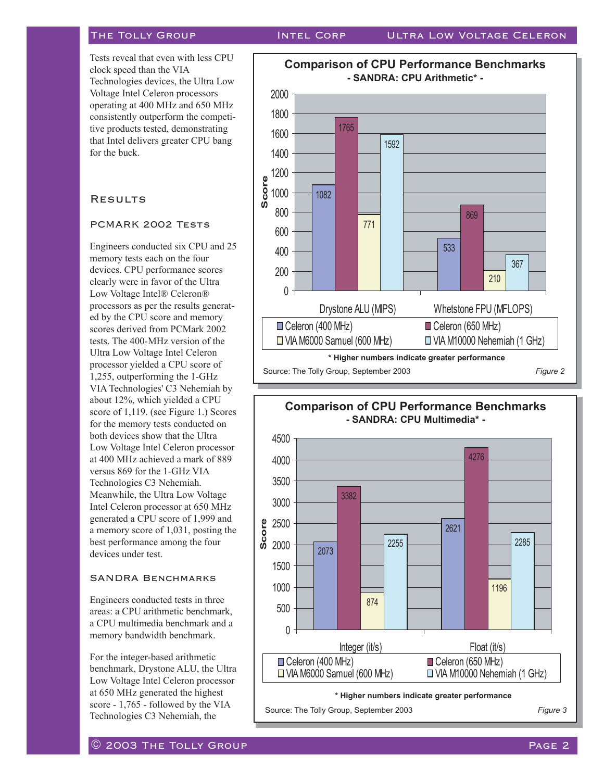Tests reveal that even with less CPU clock speed than the VIA Technologies devices, the Ultra Low Voltage Intel Celeron processors operating at 400 MHz and 650 MHz consistently outperform the competitive products tested, demonstrating that Intel delivers greater CPU bang for the buck.

### **RESULTS**

#### PCMARK 2002 Tests

Engineers conducted six CPU and 25 memory tests each on the four devices. CPU performance scores clearly were in favor of the Ultra Low Voltage Intel® Celeron® processors as per the results generated by the CPU score and memory scores derived from PCMark 2002 tests. The 400-MHz version of the Ultra Low Voltage Intel Celeron processor yielded a CPU score of 1,255, outperforming the 1-GHz VIA Technologies' C3 Nehemiah by about 12%, which yielded a CPU score of 1,119. (see Figure 1.) Scores for the memory tests conducted on both devices show that the Ultra Low Voltage Intel Celeron processor at 400 MHz achieved a mark of 889 versus 869 for the 1-GHz VIA Technologies C3 Nehemiah. Meanwhile, the Ultra Low Voltage Intel Celeron processor at 650 MHz generated a CPU score of 1,999 and a memory score of 1,031, posting the best performance among the four devices under test.

#### SANDRA Benchmarks

Engineers conducted tests in three areas: a CPU arithmetic benchmark, a CPU multimedia benchmark and a memory bandwidth benchmark.

For the integer-based arithmetic benchmark, Drystone ALU, the Ultra Low Voltage Intel Celeron processor at 650 MHz generated the highest score - 1,765 - followed by the VIA Technologies C3 Nehemiah, the





#### $\overline{\mathbb{O}}$  2003 The Tolly Group  $\overline{\mathbb{O}}$  and  $\overline{\mathbb{O}}$  and  $\overline{\mathbb{O}}$  and  $\overline{\mathbb{O}}$  and  $\overline{\mathbb{O}}$  and  $\overline{\mathbb{O}}$  and  $\overline{\mathbb{O}}$  and  $\overline{\mathbb{O}}$  and  $\overline{\mathbb{O}}$  and  $\overline{\mathbb{O}}$  and  $\overline{\mathbb{O}}$  and  $\overline{\mathbb{O}}$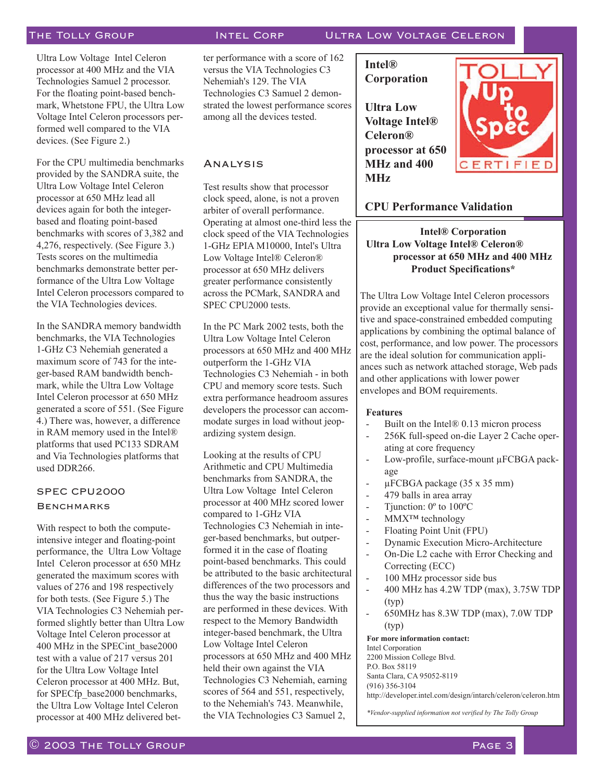Ultra Low Voltage Intel Celeron processor at 400 MHz and the VIA Technologies Samuel 2 processor. For the floating point-based benchmark, Whetstone FPU, the Ultra Low Voltage Intel Celeron processors performed well compared to the VIA devices. (See Figure 2.)

For the CPU multimedia benchmarks provided by the SANDRA suite, the Ultra Low Voltage Intel Celeron processor at 650 MHz lead all devices again for both the integerbased and floating point-based benchmarks with scores of 3,382 and 4,276, respectively. (See Figure 3.) Tests scores on the multimedia benchmarks demonstrate better performance of the Ultra Low Voltage Intel Celeron processors compared to the VIA Technologies devices.

In the SANDRA memory bandwidth benchmarks, the VIA Technologies 1-GHz C3 Nehemiah generated a maximum score of 743 for the integer-based RAM bandwidth benchmark, while the Ultra Low Voltage Intel Celeron processor at 650 MHz generated a score of 551. (See Figure 4.) There was, however, a difference in RAM memory used in the Intel® platforms that used PC133 SDRAM and Via Technologies platforms that used DDR266.

### SPEC CPU2000 **BENCHMARKS**

With respect to both the computeintensive integer and floating-point performance, the Ultra Low Voltage Intel Celeron processor at 650 MHz generated the maximum scores with values of 276 and 198 respectively for both tests. (See Figure 5.) The VIA Technologies C3 Nehemiah performed slightly better than Ultra Low Voltage Intel Celeron processor at 400 MHz in the SPECint\_base2000 test with a value of 217 versus 201 for the Ultra Low Voltage Intel Celeron processor at 400 MHz. But, for SPECfp\_base2000 benchmarks, the Ultra Low Voltage Intel Celeron processor at 400 MHz delivered bet-

#### The Tolly Group Intel Corp Ultra Low Voltage Celeron

ter performance with a score of 162 versus the VIA Technologies C3 Nehemiah's 129. The VIA Technologies C3 Samuel 2 demonstrated the lowest performance scores among all the devices tested.

#### Analysis

Test results show that processor clock speed, alone, is not a proven arbiter of overall performance. Operating at almost one-third less the clock speed of the VIA Technologies 1-GHz EPIA M10000, Intel's Ultra Low Voltage Intel® Celeron® processor at 650 MHz delivers greater performance consistently across the PCMark, SANDRA and SPEC CPU2000 tests.

In the PC Mark 2002 tests, both the Ultra Low Voltage Intel Celeron processors at 650 MHz and 400 MHz outperform the 1-GHz VIA Technologies C3 Nehemiah - in both CPU and memory score tests. Such extra performance headroom assures developers the processor can accommodate surges in load without jeopardizing system design.

Looking at the results of CPU Arithmetic and CPU Multimedia benchmarks from SANDRA, the Ultra Low Voltage Intel Celeron processor at 400 MHz scored lower compared to 1-GHz VIA Technologies C3 Nehemiah in integer-based benchmarks, but outperformed it in the case of floating point-based benchmarks. This could be attributed to the basic architectural differences of the two processors and thus the way the basic instructions are performed in these devices. With respect to the Memory Bandwidth integer-based benchmark, the Ultra Low Voltage Intel Celeron processors at 650 MHz and 400 MHz held their own against the VIA Technologies C3 Nehemiah, earning scores of 564 and 551, respectively, to the Nehemiah's 743. Meanwhile, the VIA Technologies C3 Samuel 2,

**Intel® Corporation** 

**Ultra Low Voltage Intel® Celeron® processor at 650 MHz and 400 MHz**



### **CPU Performance Validation**

**Intel® Corporation Ultra Low Voltage Intel® Celeron® processor at 650 MHz and 400 MHz Product Specifications\***

The Ultra Low Voltage Intel Celeron processors provide an exceptional value for thermally sensitive and space-constrained embedded computing applications by combining the optimal balance of cost, performance, and low power. The processors are the ideal solution for communication appliances such as network attached storage, Web pads and other applications with lower power envelopes and BOM requirements.

#### **Features**

- Built on the Intel® 0.13 micron process
- 256K full-speed on-die Layer 2 Cache operating at core frequency
- Low-profile, surface-mount µFCBGA package
- $\mu$ FCBGA package (35 x 35 mm)
- 479 balls in area array
- Tjunction:  $0^{\circ}$  to  $100^{\circ}$ C
- MMX<sup>™</sup> technology
- Floating Point Unit (FPU)
- Dynamic Execution Micro-Architecture
- On-Die L2 cache with Error Checking and Correcting (ECC)
- 100 MHz processor side bus
- 400 MHz has 4.2W TDP (max), 3.75W TDP (typ)
- 650MHz has 8.3W TDP (max), 7.0W TDP (typ)

**For more information contact:** Intel Corporation 2200 Mission College Blvd. P.O. Box 58119 Santa Clara, CA 95052-8119 (916) 356-3104 http://developer.intel.com/design/intarch/celeron/celeron.htm

*\*Vendor-supplied information not verified by The Tolly Group*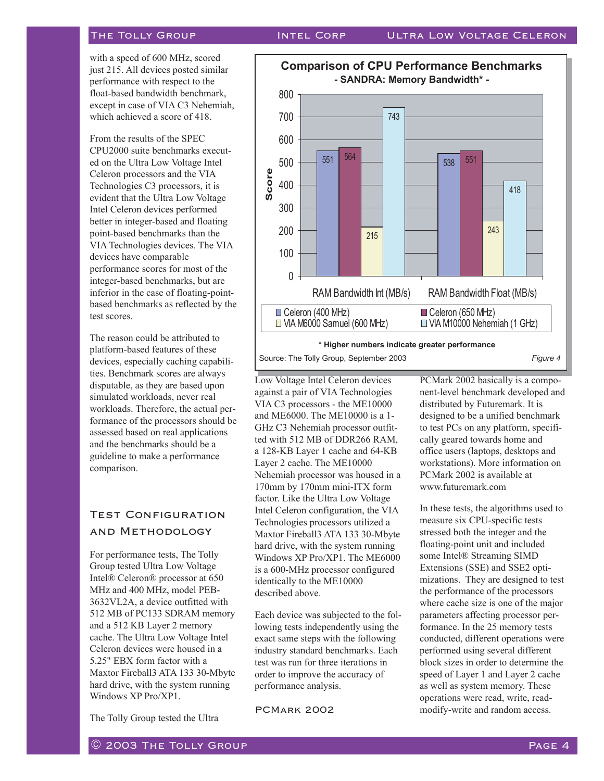with a speed of 600 MHz, scored just 215. All devices posted similar performance with respect to the float-based bandwidth benchmark, except in case of VIA C3 Nehemiah, which achieved a score of 418.

From the results of the SPEC CPU2000 suite benchmarks executed on the Ultra Low Voltage Intel Celeron processors and the VIA Technologies C3 processors, it is evident that the Ultra Low Voltage Intel Celeron devices performed better in integer-based and floating point-based benchmarks than the VIA Technologies devices. The VIA devices have comparable performance scores for most of the integer-based benchmarks, but are inferior in the case of floating-pointbased benchmarks as reflected by the test scores.

The reason could be attributed to platform-based features of these devices, especially caching capabilities. Benchmark scores are always disputable, as they are based upon simulated workloads, never real workloads. Therefore, the actual performance of the processors should be assessed based on real applications and the benchmarks should be a guideline to make a performance comparison.

### **TEST CONFIGURATION** and Methodology

For performance tests, The Tolly Group tested Ultra Low Voltage Intel® Celeron® processor at 650 MHz and 400 MHz, model PEB-3632VL2A, a device outfitted with 512 MB of PC133 SDRAM memory and a 512 KB Layer 2 memory cache. The Ultra Low Voltage Intel Celeron devices were housed in a 5.25" EBX form factor with a Maxtor Fireball3 ATA 133 30-Mbyte hard drive, with the system running Windows XP Pro/XP1.

The Tolly Group tested the Ultra

<sup>551</sup> <sup>538</sup> <sup>564</sup> <sup>551</sup> 215 **215** 243 743 418  $\theta$ 100 200 300 400 500 600 700 800 RAM Bandwidth Int (MB/s) RAM Bandwidth Float (MB/s) **Score**  $\Box$  Celeron (400 MHz)  $\Box$  Celeron (650 MHz)  $\Box$  VIA M6000 Samuel (600 MHz)  $\Box$  VIA M10000 Nehemiah (1 GHz) **Comparison of CPU Performance Benchmarks - SANDRA: Memory Bandwidth\* -**  Source: The Tolly Group, September 2003 *Figure 4* **\* Higher numbers indicate greater performance**

Low Voltage Intel Celeron devices against a pair of VIA Technologies VIA C3 processors - the ME10000 and ME6000. The ME10000 is a 1- GHz C3 Nehemiah processor outfitted with 512 MB of DDR266 RAM, a 128-KB Layer 1 cache and 64-KB Layer 2 cache. The ME10000 Nehemiah processor was housed in a 170mm by 170mm mini-ITX form factor. Like the Ultra Low Voltage Intel Celeron configuration, the VIA Technologies processors utilized a Maxtor Fireball3 ATA 133 30-Mbyte hard drive, with the system running Windows XP Pro/XP1. The ME6000 is a 600-MHz processor configured identically to the ME10000 described above.

Each device was subjected to the following tests independently using the exact same steps with the following industry standard benchmarks. Each test was run for three iterations in order to improve the accuracy of performance analysis.

PCMark 2002

PCMark 2002 basically is a component-level benchmark developed and distributed by Futuremark. It is designed to be a unified benchmark to test PCs on any platform, specifically geared towards home and office users (laptops, desktops and workstations). More information on PCMark 2002 is available at www.futuremark.com

In these tests, the algorithms used to measure six CPU-specific tests stressed both the integer and the floating-point unit and included some Intel® Streaming SIMD Extensions (SSE) and SSE2 optimizations. They are designed to test the performance of the processors where cache size is one of the major parameters affecting processor performance. In the 25 memory tests conducted, different operations were performed using several different block sizes in order to determine the speed of Layer 1 and Layer 2 cache as well as system memory. These operations were read, write, readmodify-write and random access.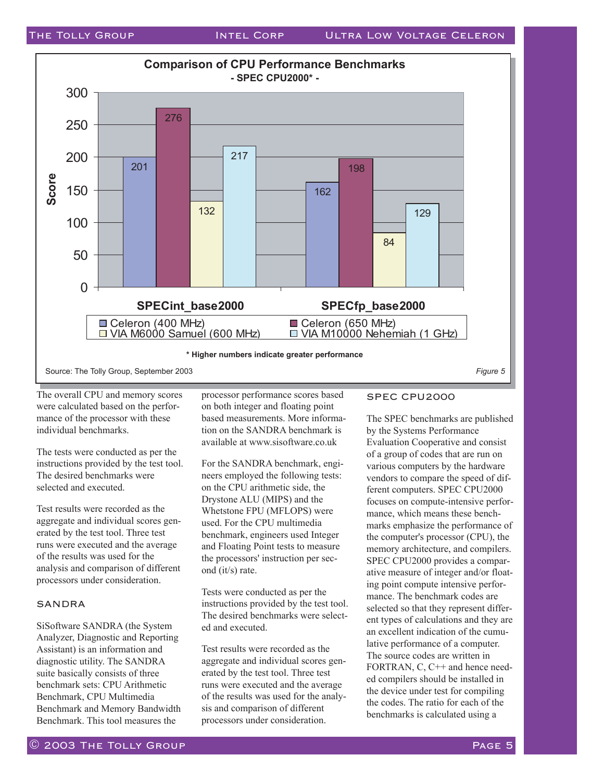

The overall CPU and memory scores were calculated based on the performance of the processor with these individual benchmarks.

The tests were conducted as per the instructions provided by the test tool. The desired benchmarks were selected and executed.

Test results were recorded as the aggregate and individual scores generated by the test tool. Three test runs were executed and the average of the results was used for the analysis and comparison of different processors under consideration.

#### SANDRA

SiSoftware SANDRA (the System Analyzer, Diagnostic and Reporting Assistant) is an information and diagnostic utility. The SANDRA suite basically consists of three benchmark sets: CPU Arithmetic Benchmark, CPU Multimedia Benchmark and Memory Bandwidth Benchmark. This tool measures the

processor performance scores based on both integer and floating point based measurements. More information on the SANDRA benchmark is available at www.sisoftware.co.uk

For the SANDRA benchmark, engineers employed the following tests: on the CPU arithmetic side, the Drystone ALU (MIPS) and the Whetstone FPU (MFLOPS) were used. For the CPU multimedia benchmark, engineers used Integer and Floating Point tests to measure the processors' instruction per second (it/s) rate.

Tests were conducted as per the instructions provided by the test tool. The desired benchmarks were selected and executed.

Test results were recorded as the aggregate and individual scores generated by the test tool. Three test runs were executed and the average of the results was used for the analysis and comparison of different processors under consideration.

### SPEC CPU2000

The SPEC benchmarks are published by the Systems Performance Evaluation Cooperative and consist of a group of codes that are run on various computers by the hardware vendors to compare the speed of different computers. SPEC CPU2000 focuses on compute-intensive performance, which means these benchmarks emphasize the performance of the computer's processor (CPU), the memory architecture, and compilers. SPEC CPU2000 provides a comparative measure of integer and/or floating point compute intensive performance. The benchmark codes are selected so that they represent different types of calculations and they are an excellent indication of the cumulative performance of a computer. The source codes are written in FORTRAN, C, C++ and hence needed compilers should be installed in the device under test for compiling the codes. The ratio for each of the benchmarks is calculated using a